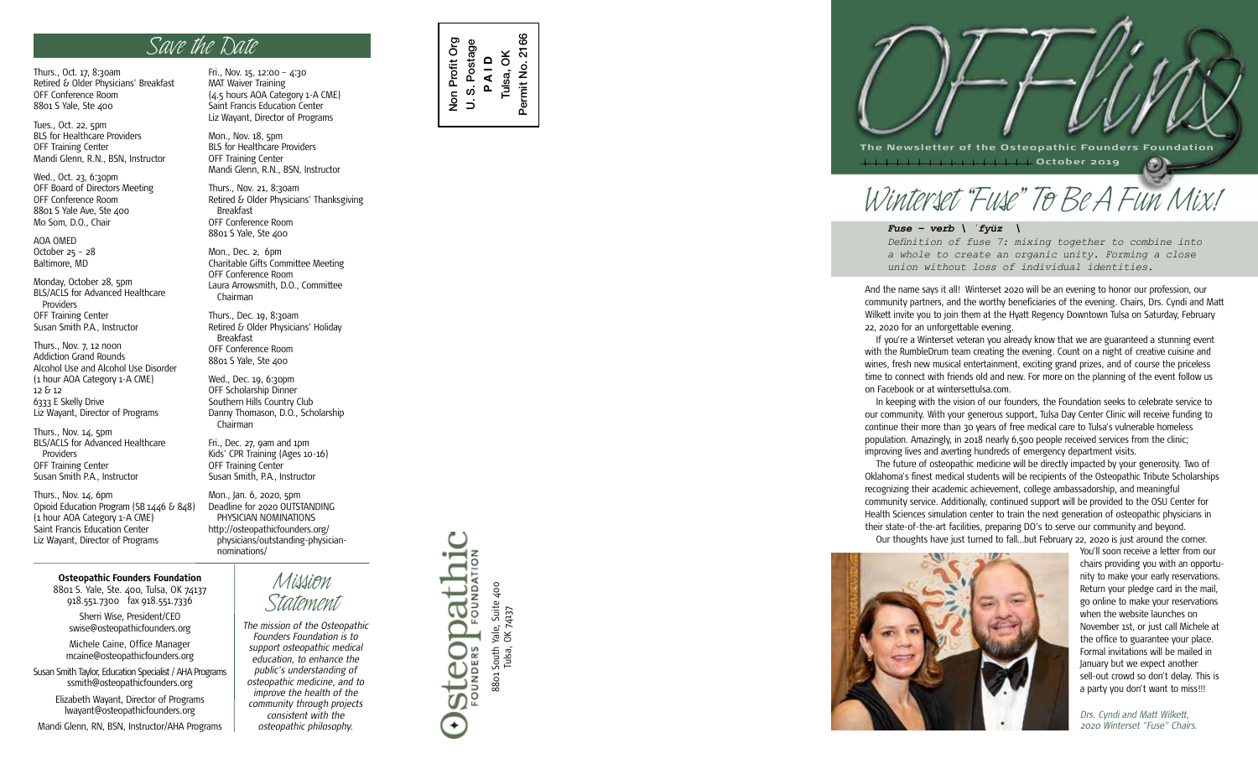Thurs., Oct. 17, 8:30am Retired & Older Physicians' Breakfast OFF Conference Room 8801 S Yale, Ste 400

Tues., Oct. 22, 5pm BLS for Healthcare Providers OFF Training Center Mandi Glenn, R.N., BSN, Instructor

Wed., Oct. 23, 6:30pm OFF Board of Directors Meeting OFF Conference Room 8801 S Yale Ave, Ste 400 Mo Som, D.O., Chair

AOA OMED October 25 – 28 Baltimore, MD

Monday, October 28, 5pm BLS/ACLS for Advanced Healthcare Providers OFF Training Center Susan Smith P.A., Instructor

Thurs., Nov. 7, 12 noon Addiction Grand Rounds Alcohol Use and Alcohol Use Disorder (1 hour AOA Category 1-A CME) 12 & 12 6333 E Skelly Drive Liz Wayant, Director of Programs

Thurs., Nov. 14, 5pm BLS/ACLS for Advanced Healthcare Providers OFF Training Center Susan Smith P.A., Instructor

Thurs., Nov. 14, 6pm Opioid Education Program (SB 1446 & 848) (1 hour AOA Category 1-A CME) Saint Francis Education Center Liz Wayant, Director of Programs

## **Osteopathic Founders Foundation**

8801 S. Yale, Ste. 400, Tulsa, OK 74137 918.551.7300 fax 918.551.7336

Sherri Wise, President/CEO swise@osteopathicfounders.org

Michele Caine, Office Manager mcaine@osteopathicfounders.org

Susan Smith Taylor, Education Specialist / AHA Programs ssmith@osteopathicfounders.org

Elizabeth Wayant, Director of Programs lwayant@osteopathicfounders.org

Mandi Glenn, RN, BSN, Instructor/AHA Programs

*SUVY U W HOUW*<br>Fri., Nov. 15, 12:00 - 4:30 MAT Waiver Training (4.5 hours AOA Category 1-A CME) Saint Francis Education Center Liz Wayant, Director of Programs

> Mon., Nov. 18, 5pm BLS for Healthcare Providers OFF Training Center Mandi Glenn, R.N., BSN, Instructor

Thurs., Nov. 21, 8:30am Retired & Older Physicians' Thanksgiving Breakfast OFF Conference Room 8801 S Yale, Ste 400

Mon., Dec. 2, 6pm Charitable Gifts Committee Meeting OFF Conference Room Laura Arrowsmith, D.O., Committee Chairman

Thurs., Dec. 19, 8:30am Retired & Older Physicians' Holiday Breakfast OFF Conference Room 8801 S Yale, Ste 400

Wed., Dec. 19, 6:30pm OFF Scholarship Dinner Southern Hills Country Club Danny Thomason, D.O., Scholarship Chairman

Fri., Dec. 27, 9am and 1pm Kids' CPR Training (Ages 10-16) OFF Training Center Susan Smith, P.A., Instructor

Mon., Jan. 6, 2020, 5pm Deadline for 2020 OUTSTANDING PHYSICIAN NOMINATIONS http://osteopathicfounders.org/ physicians/outstanding-physiciannominations/

> *Mission Statement The mission of the Osteopathic*

*consistent with the osteopathic philosophy.*

*Founders Foundation is to support osteopathic medical education, to enhance the public's understanding of osteopathic medicine, and to improve the health of the community through projects*



8801 South Yale, Suite 400

88o1 South Yale, Suit<br>Tulsa, OK 74137

Suite 400

Dathi

COD

 $\leftarrow$ 

**SLCO**<br>FoundER

Tulsa, OK 74137



 **October 2019**

## *Winterset "Fuse" To Be A Fun Mix!*

*Fuse – verb \ ˈfyüz \*

*Definition of fuse 7: mixing together to combine into a whole to create an organic unity. Forming a close union without loss of individual identities.*

And the name says it all! Winterset 2020 will be an evening to honor our profession, our community partners, and the worthy beneficiaries of the evening. Chairs, Drs. Cyndi and Matt Wilkett invite you to join them at the Hyatt Regency Downtown Tulsa on Saturday, February 22, 2020 for an unforgettable evening.

If you're a Winterset veteran you already know that we are guaranteed a stunning event with the RumbleDrum team creating the evening. Count on a night of creative cuisine and wines, fresh new musical entertainment, exciting grand prizes, and of course the priceless time to connect with friends old and new. For more on the planning of the event follow us on Facebook or at wintersettulsa.com.

In keeping with the vision of our founders, the Foundation seeks to celebrate service to our community. With your generous support, Tulsa Day Center Clinic will receive funding to continue their more than 30 years of free medical care to Tulsa's vulnerable homeless population. Amazingly, in 2018 nearly 6,500 people received services from the clinic; improving lives and averting hundreds of emergency department visits.

The future of osteopathic medicine will be directly impacted by your generosity. Two of Oklahoma's finest medical students will be recipients of the Osteopathic Tribute Scholarships recognizing their academic achievement, college ambassadorship, and meaningful community service. Additionally, continued support will be provided to the OSU Center for Health Sciences simulation center to train the next generation of osteopathic physicians in their state-of-the-art facilities, preparing DO's to serve our community and beyond. Our thoughts have just turned to fall…but February 22, 2020 is just around the corner.



You'll soon receive a letter from our chairs providing you with an opportu nity to make your early reservations. Return your pledge card in the mail, go online to make your reservations when the website launches on November 1st, or just call Michele at the office to guarantee your place. Formal invitations will be mailed in January but we expect another sell-out crowd so don't delay. This is a party you don't want to miss!!!

*Drs. Cyndi and Matt Wilkett, 2020 Winterset "Fuse" Chairs.*